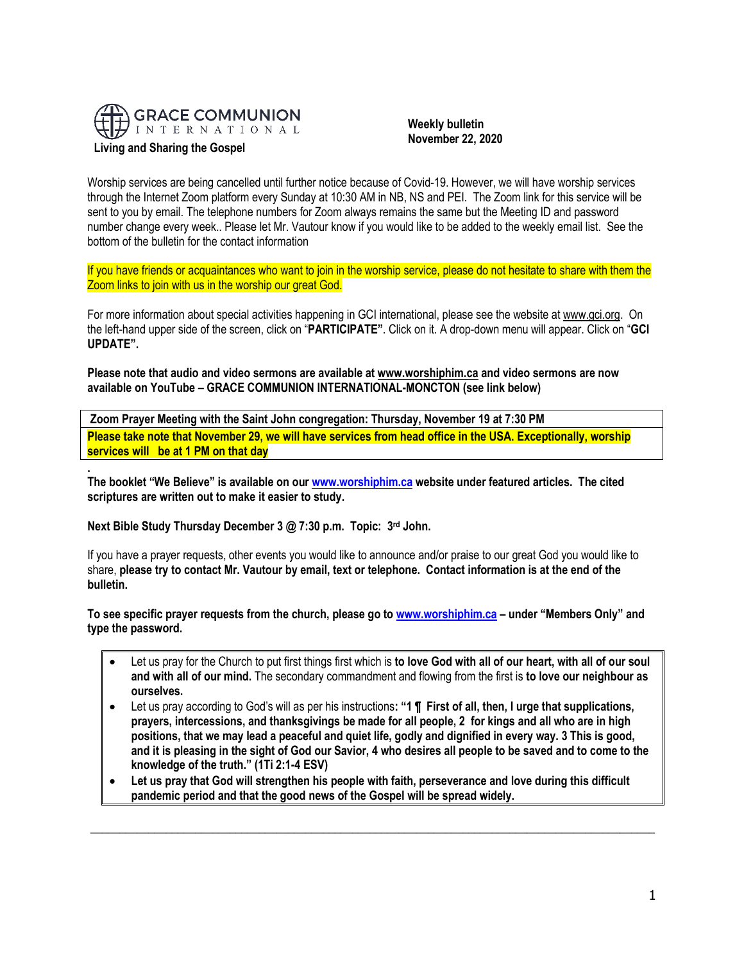

# **Living and Sharing the Gospel**

 **Weekly bulletin November 22, 2020**

Worship services are being cancelled until further notice because of Covid-19. However, we will have worship services through the Internet Zoom platform every Sunday at 10:30 AM in NB, NS and PEI. The Zoom link for this service will be sent to you by email. The telephone numbers for Zoom always remains the same but the Meeting ID and password number change every week.. Please let Mr. Vautour know if you would like to be added to the weekly email list. See the bottom of the bulletin for the contact information

If you have friends or acquaintances who want to join in the worship service, please do not hesitate to share with them the Zoom links to join with us in the worship our great God.

For more information about special activities happening in GCI international, please see the website a[t www.gci.org.](http://www.gci.org/) On the left-hand upper side of the screen, click on "**PARTICIPATE"**. Click on it. A drop-down menu will appear. Click on "**GCI UPDATE".**

**Please note that audio and video sermons are available at [www.worshiphim.ca](http://www.worshiphim.ca/) and video sermons are now available on YouTube – GRACE COMMUNION INTERNATIONAL-MONCTON (see link below)** 

**Zoom Prayer Meeting with the Saint John congregation: Thursday, November 19 at 7:30 PM Please take note that November 29, we will have services from head office in the USA. Exceptionally, worship services will be at 1 PM on that day**

**. The booklet "We Believe" is available on ou[r www.worshiphim.ca](http://www.worshiphim.ca/) website under featured articles. The cited scriptures are written out to make it easier to study.**

**Next Bible Study Thursday December 3 @ 7:30 p.m. Topic: 3rd John.**

If you have a prayer requests, other events you would like to announce and/or praise to our great God you would like to share, **please try to contact Mr. Vautour by email, text or telephone. Contact information is at the end of the bulletin.**

**To see specific prayer requests from the church, please go to [www.worshiphim.ca](http://www.worshiphim.ca/) – under "Members Only" and type the password.**

- Let us pray for the Church to put first things first which is **to love God with all of our heart, with all of our soul and with all of our mind.** The secondary commandment and flowing from the first is **to love our neighbour as ourselves.**
- Let us pray according to God's will as per his instructions**: "1 ¶ First of all, then, I urge that supplications, prayers, intercessions, and thanksgivings be made for all people, 2 for kings and all who are in high positions, that we may lead a peaceful and quiet life, godly and dignified in every way. 3 This is good, and it is pleasing in the sight of God our Savior, 4 who desires all people to be saved and to come to the knowledge of the truth." (1Ti 2:1-4 ESV)**
- **Let us pray that God will strengthen his people with faith, perseverance and love during this difficult pandemic period and that the good news of the Gospel will be spread widely.**

 $\_$  ,  $\_$  ,  $\_$  ,  $\_$  ,  $\_$  ,  $\_$  ,  $\_$  ,  $\_$  ,  $\_$  ,  $\_$  ,  $\_$  ,  $\_$  ,  $\_$  ,  $\_$  ,  $\_$  ,  $\_$  ,  $\_$  ,  $\_$  ,  $\_$  ,  $\_$  ,  $\_$  ,  $\_$  ,  $\_$  ,  $\_$  ,  $\_$  ,  $\_$  ,  $\_$  ,  $\_$  ,  $\_$  ,  $\_$  ,  $\_$  ,  $\_$  ,  $\_$  ,  $\_$  ,  $\_$  ,  $\_$  ,  $\_$  ,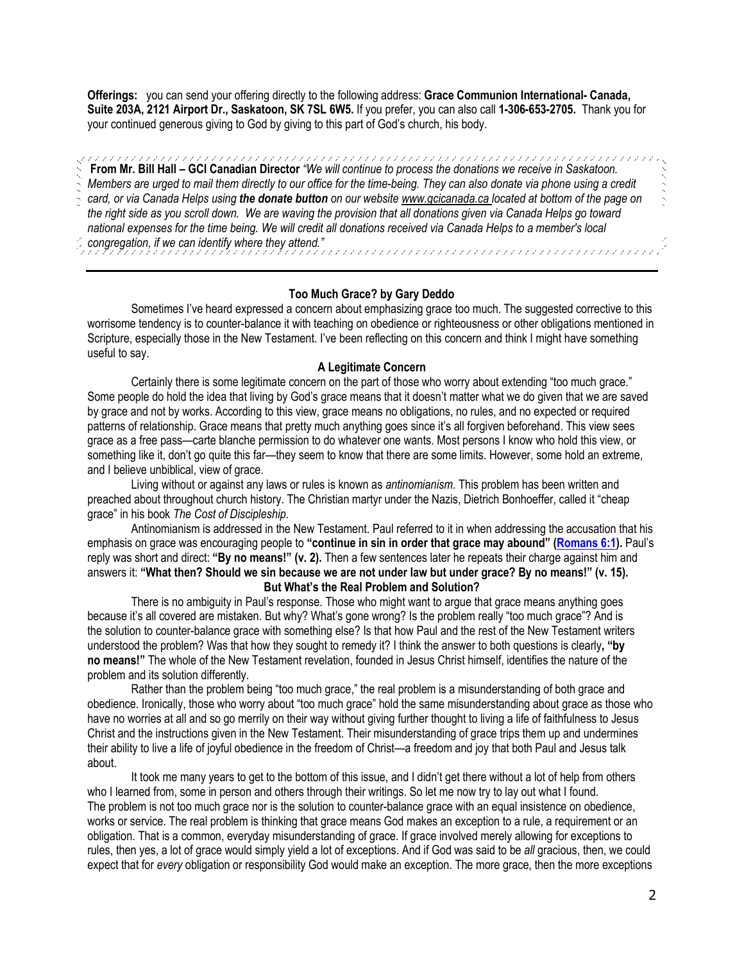**Offerings:** you can send your offering directly to the following address: **Grace Communion International- Canada, Suite 203A, 2121 Airport Dr., Saskatoon, SK 7SL 6W5.** If you prefer, you can also call **1-306-653-2705.** Thank you for your continued generous giving to God by giving to this part of God's church, his body.

**From Mr. Bill Hall – GCI Canadian Director** *"We will continue to process the donations we receive in Saskatoon. Members are urged to mail them directly to our office for the time-being. They can also donate via phone using a credit card, or via Canada Helps using the donate button on our websit[e www.gcicanada.ca](https://eur03.safelinks.protection.outlook.com/?url=http%3A%2F%2Fwww.gcicanada.ca%2F&data=02%7C01%7C%7C9fd93e29c2b44509e5a008d7caa78fdb%7C84df9e7fe9f640afb435aaaaaaaaaaaa%7C1%7C0%7C637200693331983394&sdata=VAGy4Q%2BxbhHuYaeEiDz%2FQyicT%2FoiY4Ir9kc8w5yHRPs%3D&reserved=0) located at bottom of the page on the right side as you scroll down. We are waving the provision that all donations given via Canada Helps go toward national expenses for the time being. We will credit all donations received via Canada Helps to a member's local congregation, if we can identify where they attend."*

# **Too Much Grace? by Gary Deddo**

Sometimes I've heard expressed a concern about emphasizing grace too much. The suggested corrective to this worrisome tendency is to counter-balance it with teaching on obedience or righteousness or other obligations mentioned in Scripture, especially those in the New Testament. I've been reflecting on this concern and think I might have something useful to say.

# **A Legitimate Concern**

Certainly there is some legitimate concern on the part of those who worry about extending "too much grace." Some people do hold the idea that living by God's grace means that it doesn't matter what we do given that we are saved by grace and not by works. According to this view, grace means no obligations, no rules, and no expected or required patterns of relationship. Grace means that pretty much anything goes since it's all forgiven beforehand. This view sees grace as a free pass—carte blanche permission to do whatever one wants. Most persons I know who hold this view, or something like it, don't go quite this far—they seem to know that there are some limits. However, some hold an extreme, and I believe unbiblical, view of grace.

Living without or against any laws or rules is known as *antinomianism.* This problem has been written and preached about throughout church history. The Christian martyr under the Nazis, Dietrich Bonhoeffer, called it "cheap grace" in his book *The Cost of Discipleship.*

Antinomianism is addressed in the New Testament. Paul referred to it in when addressing the accusation that his emphasis on grace was encouraging people to **"continue in sin in order that grace may abound" ([Romans 6:1\)](https://biblia.com/bible/niv/Rom%206.1).** Paul's reply was short and direct: **"By no means!" (v. 2).** Then a few sentences later he repeats their charge against him and answers it: **"What then? Should we sin because we are not under law but under grace? By no means!" (v. 15). But What's the Real Problem and Solution?**

There is no ambiguity in Paul's response. Those who might want to argue that grace means anything goes because it's all covered are mistaken. But why? What's gone wrong? Is the problem really "too much grace"? And is the solution to counter-balance grace with something else? Is that how Paul and the rest of the New Testament writers understood the problem? Was that how they sought to remedy it? I think the answer to both questions is clearly**, "by no means!"** The whole of the New Testament revelation, founded in Jesus Christ himself, identifies the nature of the problem and its solution differently.

Rather than the problem being "too much grace," the real problem is a misunderstanding of both grace and obedience. Ironically, those who worry about "too much grace" hold the same misunderstanding about grace as those who have no worries at all and so go merrily on their way without giving further thought to living a life of faithfulness to Jesus Christ and the instructions given in the New Testament. Their misunderstanding of grace trips them up and undermines their ability to live a life of joyful obedience in the freedom of Christ—a freedom and joy that both Paul and Jesus talk about.

It took me many years to get to the bottom of this issue, and I didn't get there without a lot of help from others who I learned from, some in person and others through their writings. So let me now try to lay out what I found. The problem is not too much grace nor is the solution to counter-balance grace with an equal insistence on obedience, works or service. The real problem is thinking that grace means God makes an exception to a rule, a requirement or an obligation. That is a common, everyday misunderstanding of grace. If grace involved merely allowing for exceptions to rules, then yes, a lot of grace would simply yield a lot of exceptions. And if God was said to be *all* gracious, then, we could expect that for *every* obligation or responsibility God would make an exception. The more grace, then the more exceptions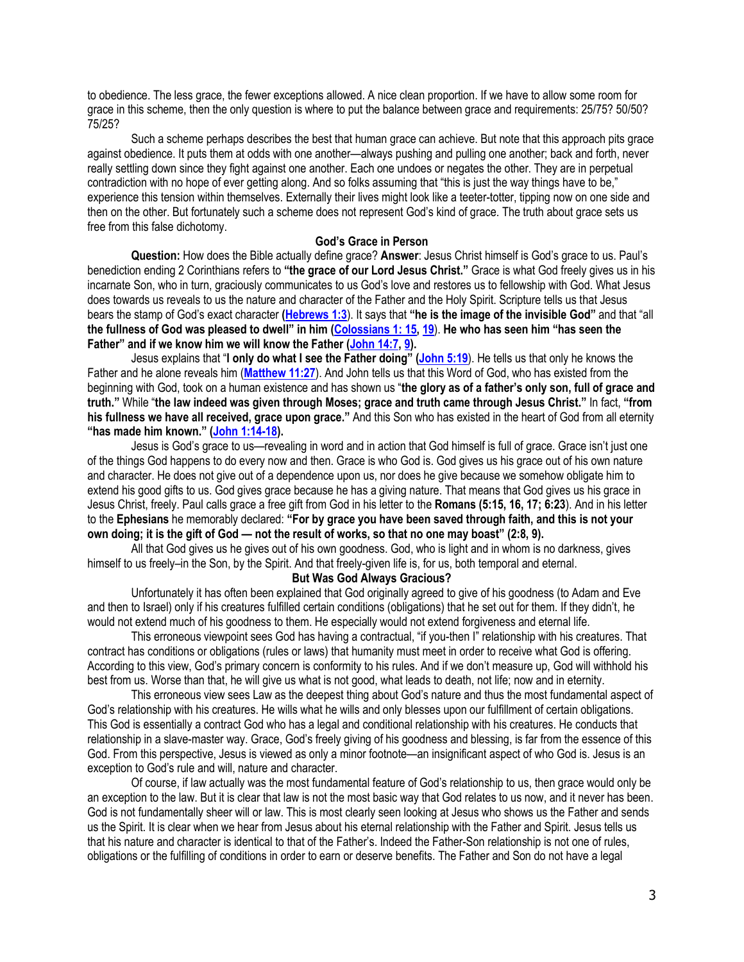to obedience. The less grace, the fewer exceptions allowed. A nice clean proportion. If we have to allow some room for grace in this scheme, then the only question is where to put the balance between grace and requirements: 25/75? 50/50? 75/25?

Such a scheme perhaps describes the best that human grace can achieve. But note that this approach pits grace against obedience. It puts them at odds with one another—always pushing and pulling one another; back and forth, never really settling down since they fight against one another. Each one undoes or negates the other. They are in perpetual contradiction with no hope of ever getting along. And so folks assuming that "this is just the way things have to be," experience this tension within themselves. Externally their lives might look like a teeter-totter, tipping now on one side and then on the other. But fortunately such a scheme does not represent God's kind of grace. The truth about grace sets us free from this false dichotomy.

# **God's Grace in Person**

**Question:** How does the Bible actually define grace? **Answer**: Jesus Christ himself is God's grace to us. Paul's benediction ending 2 Corinthians refers to **"the grace of our Lord Jesus Christ."** Grace is what God freely gives us in his incarnate Son, who in turn, graciously communicates to us God's love and restores us to fellowship with God. What Jesus does towards us reveals to us the nature and character of the Father and the Holy Spirit. Scripture tells us that Jesus bears the stamp of God's exact character **[\(Hebrews 1:3](https://biblia.com/bible/niv/Heb%201.3)**). It says that **"he is the image of the invisible God"** and that "all **the fullness of God was pleased to dwell" in him ([Colossians 1: 15,](https://biblia.com/bible/niv/Col%201.%2015) [19](https://biblia.com/bible/niv/Colossians%201.19)**). **He who has seen him "has seen the Father" and if we know him we will know the Father ([John 14:7,](https://biblia.com/bible/niv/John%2014.7) [9\)](https://biblia.com/bible/niv/John%2014.9).**

Jesus explains that "**I only do what I see the Father doing" ([John 5:19](https://biblia.com/bible/niv/John%205.19)**). He tells us that only he knows the Father and he alone reveals him (**[Matthew 11:27](https://biblia.com/bible/niv/Matt%2011.27)**). And John tells us that this Word of God, who has existed from the beginning with God, took on a human existence and has shown us "**the glory as of a father's only son, full of grace and truth."** While "**the law indeed was given through Moses; grace and truth came through Jesus Christ."** In fact, **"from his fullness we have all received, grace upon grace."** And this Son who has existed in the heart of God from all eternity **"has made him known." ([John 1:14-18\)](https://biblia.com/bible/niv/John%201.14-18).**

Jesus is God's grace to us—revealing in word and in action that God himself is full of grace. Grace isn't just one of the things God happens to do every now and then. Grace is who God is. God gives us his grace out of his own nature and character. He does not give out of a dependence upon us, nor does he give because we somehow obligate him to extend his good gifts to us. God gives grace because he has a giving nature. That means that God gives us his grace in Jesus Christ, freely. Paul calls grace a free gift from God in his letter to the **Romans (5:15, 16, 17; 6:23**). And in his letter to the **Ephesians** he memorably declared: **"For by grace you have been saved through faith, and this is not your own doing; it is the gift of God — not the result of works, so that no one may boast" (2:8, 9).**

All that God gives us he gives out of his own goodness. God, who is light and in whom is no darkness, gives himself to us freely–in the Son, by the Spirit. And that freely-given life is, for us, both temporal and eternal.

### **But Was God Always Gracious?**

Unfortunately it has often been explained that God originally agreed to give of his goodness (to Adam and Eve and then to Israel) only if his creatures fulfilled certain conditions (obligations) that he set out for them. If they didn't, he would not extend much of his goodness to them. He especially would not extend forgiveness and eternal life.

This erroneous viewpoint sees God has having a contractual, "if you-then I" relationship with his creatures. That contract has conditions or obligations (rules or laws) that humanity must meet in order to receive what God is offering. According to this view, God's primary concern is conformity to his rules. And if we don't measure up, God will withhold his best from us. Worse than that, he will give us what is not good, what leads to death, not life; now and in eternity.

This erroneous view sees Law as the deepest thing about God's nature and thus the most fundamental aspect of God's relationship with his creatures. He wills what he wills and only blesses upon our fulfillment of certain obligations. This God is essentially a contract God who has a legal and conditional relationship with his creatures. He conducts that relationship in a slave-master way. Grace, God's freely giving of his goodness and blessing, is far from the essence of this God. From this perspective, Jesus is viewed as only a minor footnote—an insignificant aspect of who God is. Jesus is an exception to God's rule and will, nature and character.

Of course, if law actually was the most fundamental feature of God's relationship to us, then grace would only be an exception to the law. But it is clear that law is not the most basic way that God relates to us now, and it never has been. God is not fundamentally sheer will or law. This is most clearly seen looking at Jesus who shows us the Father and sends us the Spirit. It is clear when we hear from Jesus about his eternal relationship with the Father and Spirit. Jesus tells us that his nature and character is identical to that of the Father's. Indeed the Father-Son relationship is not one of rules, obligations or the fulfilling of conditions in order to earn or deserve benefits. The Father and Son do not have a legal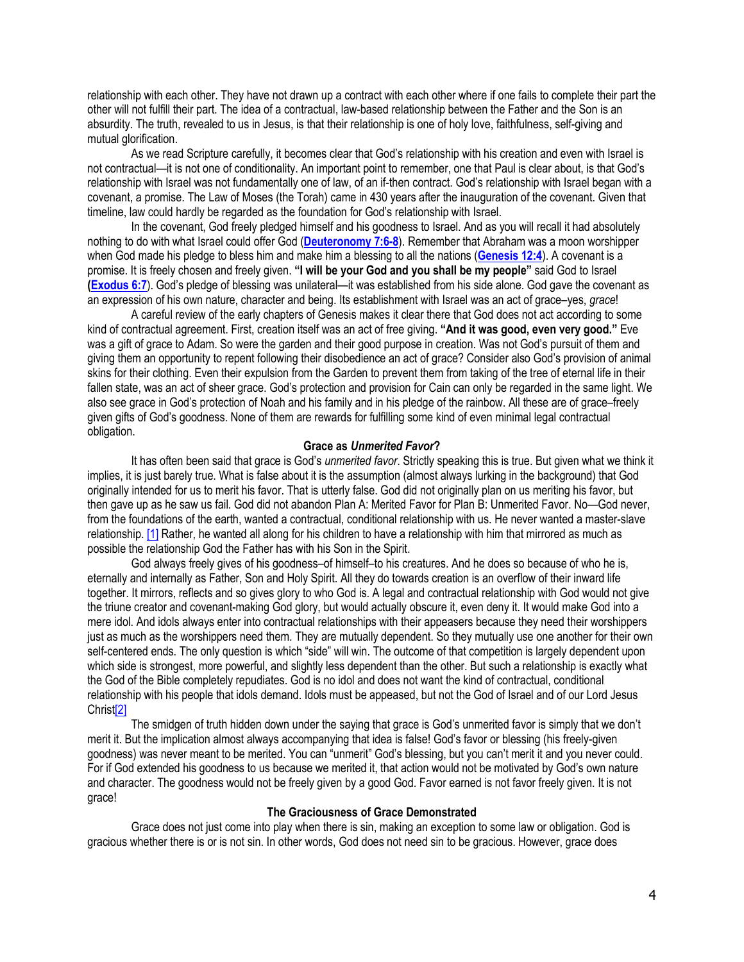relationship with each other. They have not drawn up a contract with each other where if one fails to complete their part the other will not fulfill their part. The idea of a contractual, law-based relationship between the Father and the Son is an absurdity. The truth, revealed to us in Jesus, is that their relationship is one of holy love, faithfulness, self-giving and mutual glorification.

As we read Scripture carefully, it becomes clear that God's relationship with his creation and even with Israel is not contractual—it is not one of conditionality. An important point to remember, one that Paul is clear about, is that God's relationship with Israel was not fundamentally one of law, of an if-then contract. God's relationship with Israel began with a covenant, a promise. The Law of Moses (the Torah) came in 430 years after the inauguration of the covenant. Given that timeline, law could hardly be regarded as the foundation for God's relationship with Israel.

In the covenant, God freely pledged himself and his goodness to Israel. And as you will recall it had absolutely nothing to do with what Israel could offer God (**[Deuteronomy 7:6-8](https://biblia.com/bible/niv/Deut%207.6-8)**). Remember that Abraham was a moon worshipper when God made his pledge to bless him and make him a blessing to all the nations (**[Genesis 12:4](https://biblia.com/bible/niv/Gen%2012.4)**). A covenant is a promise. It is freely chosen and freely given. **"I will be your God and you shall be my people"** said God to Israel **[\(Exodus 6:7](https://biblia.com/bible/niv/Exod%206.7)**). God's pledge of blessing was unilateral—it was established from his side alone. God gave the covenant as an expression of his own nature, character and being. Its establishment with Israel was an act of grace–yes, *grace*!

A careful review of the early chapters of Genesis makes it clear there that God does not act according to some kind of contractual agreement. First, creation itself was an act of free giving. **"And it was good, even very good."** Eve was a gift of grace to Adam. So were the garden and their good purpose in creation. Was not God's pursuit of them and giving them an opportunity to repent following their disobedience an act of grace? Consider also God's provision of animal skins for their clothing. Even their expulsion from the Garden to prevent them from taking of the tree of eternal life in their fallen state, was an act of sheer grace. God's protection and provision for Cain can only be regarded in the same light. We also see grace in God's protection of Noah and his family and in his pledge of the rainbow. All these are of grace–freely given gifts of God's goodness. None of them are rewards for fulfilling some kind of even minimal legal contractual obligation.

#### **Grace as** *Unmerited Favor***?**

It has often been said that grace is God's *unmerited favor*. Strictly speaking this is true. But given what we think it implies, it is just barely true. What is false about it is the assumption (almost always lurking in the background) that God originally intended for us to merit his favor. That is utterly false. God did not originally plan on us meriting his favor, but then gave up as he saw us fail. God did not abandon Plan A: Merited Favor for Plan B: Unmerited Favor. No—God never, from the foundations of the earth, wanted a contractual, conditional relationship with us. He never wanted a master-slave relationship. [\[1\]](https://www.gci.org/articles/too-much-grace/#_ftn1) Rather, he wanted all along for his children to have a relationship with him that mirrored as much as possible the relationship God the Father has with his Son in the Spirit.

God always freely gives of his goodness–of himself–to his creatures. And he does so because of who he is, eternally and internally as Father, Son and Holy Spirit. All they do towards creation is an overflow of their inward life together. It mirrors, reflects and so gives glory to who God is. A legal and contractual relationship with God would not give the triune creator and covenant-making God glory, but would actually obscure it, even deny it. It would make God into a mere idol. And idols always enter into contractual relationships with their appeasers because they need their worshippers just as much as the worshippers need them. They are mutually dependent. So they mutually use one another for their own self-centered ends. The only question is which "side" will win. The outcome of that competition is largely dependent upon which side is strongest, more powerful, and slightly less dependent than the other. But such a relationship is exactly what the God of the Bible completely repudiates. God is no idol and does not want the kind of contractual, conditional relationship with his people that idols demand. Idols must be appeased, but not the God of Israel and of our Lord Jesus Chri[st\[2\]](https://www.gci.org/articles/too-much-grace/#_ftn2)

The smidgen of truth hidden down under the saying that grace is God's unmerited favor is simply that we don't merit it. But the implication almost always accompanying that idea is false! God's favor or blessing (his freely-given goodness) was never meant to be merited. You can "unmerit" God's blessing, but you can't merit it and you never could. For if God extended his goodness to us because we merited it, that action would not be motivated by God's own nature and character. The goodness would not be freely given by a good God. Favor earned is not favor freely given. It is not grace!

#### **The Graciousness of Grace Demonstrated**

Grace does not just come into play when there is sin, making an exception to some law or obligation. God is gracious whether there is or is not sin. In other words, God does not need sin to be gracious. However, grace does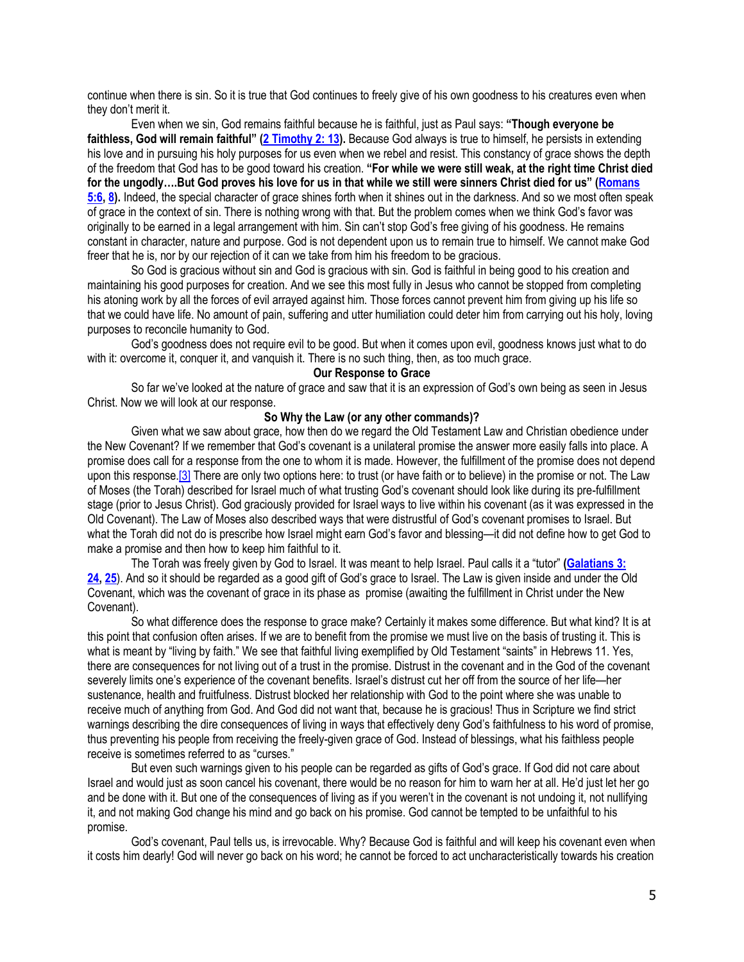continue when there is sin. So it is true that God continues to freely give of his own goodness to his creatures even when they don't merit it.

Even when we sin, God remains faithful because he is faithful, just as Paul says: **"Though everyone be faithless, God will remain faithful" ([2 Timothy 2: 13\)](https://biblia.com/bible/niv/2%20Tim%202.%2013).** Because God always is true to himself, he persists in extending his love and in pursuing his holy purposes for us even when we rebel and resist. This constancy of grace shows the depth of the freedom that God has to be good toward his creation. **"For while we were still weak, at the right time Christ died for the ungodly….But God proves his love for us in that while we still were sinners Christ died for us" ([Romans](https://biblia.com/bible/niv/Rom%205.6)  [5:6,](https://biblia.com/bible/niv/Rom%205.6) [8\)](https://biblia.com/bible/niv/Romans%205.8).** Indeed, the special character of grace shines forth when it shines out in the darkness. And so we most often speak of grace in the context of sin. There is nothing wrong with that. But the problem comes when we think God's favor was originally to be earned in a legal arrangement with him. Sin can't stop God's free giving of his goodness. He remains constant in character, nature and purpose. God is not dependent upon us to remain true to himself. We cannot make God freer that he is, nor by our rejection of it can we take from him his freedom to be gracious.

So God is gracious without sin and God is gracious with sin. God is faithful in being good to his creation and maintaining his good purposes for creation. And we see this most fully in Jesus who cannot be stopped from completing his atoning work by all the forces of evil arrayed against him. Those forces cannot prevent him from giving up his life so that we could have life. No amount of pain, suffering and utter humiliation could deter him from carrying out his holy, loving purposes to reconcile humanity to God.

God's goodness does not require evil to be good. But when it comes upon evil, goodness knows just what to do with it: overcome it, conquer it, and vanquish it. There is no such thing, then, as too much grace.

## **Our Response to Grace**

So far we've looked at the nature of grace and saw that it is an expression of God's own being as seen in Jesus Christ. Now we will look at our response.

## **So Why the Law (or any other commands)?**

Given what we saw about grace, how then do we regard the Old Testament Law and Christian obedience under the New Covenant? If we remember that God's covenant is a unilateral promise the answer more easily falls into place. A promise does call for a response from the one to whom it is made. However, the fulfillment of the promise does not depend upon this response.<sup>[3]</sup> There are only two options here: to trust (or have faith or to believe) in the promise or not. The Law of Moses (the Torah) described for Israel much of what trusting God's covenant should look like during its pre-fulfillment stage (prior to Jesus Christ). God graciously provided for Israel ways to live within his covenant (as it was expressed in the Old Covenant). The Law of Moses also described ways that were distrustful of God's covenant promises to Israel. But what the Torah did not do is prescribe how Israel might earn God's favor and blessing—it did not define how to get God to make a promise and then how to keep him faithful to it.

The Torah was freely given by God to Israel. It was meant to help Israel. Paul calls it a "tutor" **[\(Galatians 3:](https://biblia.com/bible/niv/Gal%203.%2024)  [24,](https://biblia.com/bible/niv/Gal%203.%2024) [25](https://biblia.com/bible/niv/Galatians%203.25)**). And so it should be regarded as a good gift of God's grace to Israel. The Law is given inside and under the Old Covenant, which was the covenant of grace in its phase as promise (awaiting the fulfillment in Christ under the New Covenant).

So what difference does the response to grace make? Certainly it makes some difference. But what kind? It is at this point that confusion often arises. If we are to benefit from the promise we must live on the basis of trusting it. This is what is meant by "living by faith." We see that faithful living exemplified by Old Testament "saints" in Hebrews 11. Yes, there are consequences for not living out of a trust in the promise. Distrust in the covenant and in the God of the covenant severely limits one's experience of the covenant benefits. Israel's distrust cut her off from the source of her life—her sustenance, health and fruitfulness. Distrust blocked her relationship with God to the point where she was unable to receive much of anything from God. And God did not want that, because he is gracious! Thus in Scripture we find strict warnings describing the dire consequences of living in ways that effectively deny God's faithfulness to his word of promise, thus preventing his people from receiving the freely-given grace of God. Instead of blessings, what his faithless people receive is sometimes referred to as "curses."

But even such warnings given to his people can be regarded as gifts of God's grace. If God did not care about Israel and would just as soon cancel his covenant, there would be no reason for him to warn her at all. He'd just let her go and be done with it. But one of the consequences of living as if you weren't in the covenant is not undoing it, not nullifying it, and not making God change his mind and go back on his promise. God cannot be tempted to be unfaithful to his promise.

God's covenant, Paul tells us, is irrevocable. Why? Because God is faithful and will keep his covenant even when it costs him dearly! God will never go back on his word; he cannot be forced to act uncharacteristically towards his creation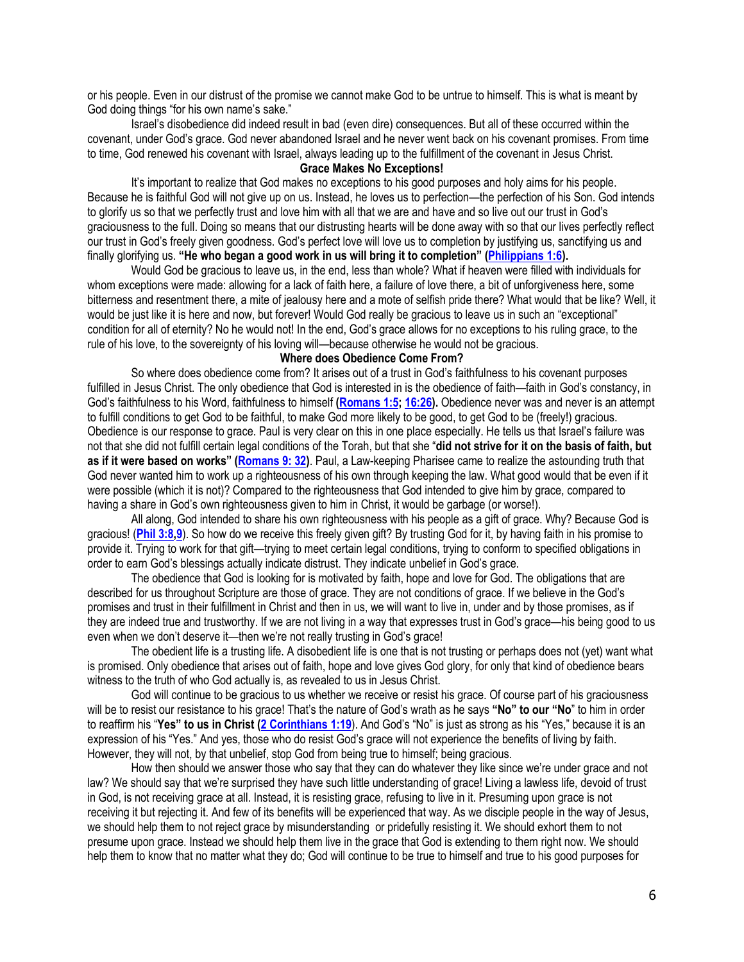or his people. Even in our distrust of the promise we cannot make God to be untrue to himself. This is what is meant by God doing things "for his own name's sake."

Israel's disobedience did indeed result in bad (even dire) consequences. But all of these occurred within the covenant, under God's grace. God never abandoned Israel and he never went back on his covenant promises. From time to time, God renewed his covenant with Israel, always leading up to the fulfillment of the covenant in Jesus Christ.

# **Grace Makes No Exceptions!**

It's important to realize that God makes no exceptions to his good purposes and holy aims for his people. Because he is faithful God will not give up on us. Instead, he loves us to perfection—the perfection of his Son. God intends to glorify us so that we perfectly trust and love him with all that we are and have and so live out our trust in God's graciousness to the full. Doing so means that our distrusting hearts will be done away with so that our lives perfectly reflect our trust in God's freely given goodness. God's perfect love will love us to completion by justifying us, sanctifying us and finally glorifying us. **"He who began a good work in us will bring it to completion" ([Philippians 1:6\)](https://biblia.com/bible/niv/Phil%201.6).**

Would God be gracious to leave us, in the end, less than whole? What if heaven were filled with individuals for whom exceptions were made: allowing for a lack of faith here, a failure of love there, a bit of unforgiveness here, some bitterness and resentment there, a mite of jealousy here and a mote of selfish pride there? What would that be like? Well, it would be just like it is here and now, but forever! Would God really be gracious to leave us in such an "exceptional" condition for all of eternity? No he would not! In the end, God's grace allows for no exceptions to his ruling grace, to the rule of his love, to the sovereignty of his loving will—because otherwise he would not be gracious.

## **Where does Obedience Come From?**

So where does obedience come from? It arises out of a trust in God's faithfulness to his covenant purposes fulfilled in Jesus Christ. The only obedience that God is interested in is the obedience of faith—faith in God's constancy, in God's faithfulness to his Word, faithfulness to himself **[\(Romans 1:5;](https://biblia.com/bible/niv/Rom%201.5) [16:26\)](https://biblia.com/bible/niv/Romans%2016.26).** Obedience never was and never is an attempt to fulfill conditions to get God to be faithful, to make God more likely to be good, to get God to be (freely!) gracious. Obedience is our response to grace. Paul is very clear on this in one place especially. He tells us that Israel's failure was not that she did not fulfill certain legal conditions of the Torah, but that she "**did not strive for it on the basis of faith, but as if it were based on works" ([Romans 9: 32\)](https://biblia.com/bible/niv/Rom%209.%2032)**. Paul, a Law-keeping Pharisee came to realize the astounding truth that God never wanted him to work up a righteousness of his own through keeping the law. What good would that be even if it were possible (which it is not)? Compared to the righteousness that God intended to give him by grace, compared to having a share in God's own righteousness given to him in Christ, it would be garbage (or worse!).

All along, God intended to share his own righteousness with his people as a gift of grace. Why? Because God is gracious! (**[Phil 3:8](https://biblia.com/bible/niv/Phil%203.8)[,9](https://biblia.com/bible/niv/Phil%203.9)**). So how do we receive this freely given gift? By trusting God for it, by having faith in his promise to provide it. Trying to work for that gift—trying to meet certain legal conditions, trying to conform to specified obligations in order to earn God's blessings actually indicate distrust. They indicate unbelief in God's grace.

The obedience that God is looking for is motivated by faith, hope and love for God. The obligations that are described for us throughout Scripture are those of grace. They are not conditions of grace. If we believe in the God's promises and trust in their fulfillment in Christ and then in us, we will want to live in, under and by those promises, as if they are indeed true and trustworthy. If we are not living in a way that expresses trust in God's grace—his being good to us even when we don't deserve it—then we're not really trusting in God's grace!

The obedient life is a trusting life. A disobedient life is one that is not trusting or perhaps does not (yet) want what is promised. Only obedience that arises out of faith, hope and love gives God glory, for only that kind of obedience bears witness to the truth of who God actually is, as revealed to us in Jesus Christ.

God will continue to be gracious to us whether we receive or resist his grace. Of course part of his graciousness will be to resist our resistance to his grace! That's the nature of God's wrath as he says **"No" to our "No**" to him in order to reaffirm his "**Yes" to us in Christ ([2 Corinthians 1:19](https://biblia.com/bible/niv/2%20Cor%201.19)**). And God's "No" is just as strong as his "Yes," because it is an expression of his "Yes." And yes, those who do resist God's grace will not experience the benefits of living by faith. However, they will not, by that unbelief, stop God from being true to himself; being gracious.

How then should we answer those who say that they can do whatever they like since we're under grace and not law? We should say that we're surprised they have such little understanding of grace! Living a lawless life, devoid of trust in God, is not receiving grace at all. Instead, it is resisting grace, refusing to live in it. Presuming upon grace is not receiving it but rejecting it. And few of its benefits will be experienced that way. As we disciple people in the way of Jesus, we should help them to not reject grace by misunderstanding or pridefully resisting it. We should exhort them to not presume upon grace. Instead we should help them live in the grace that God is extending to them right now. We should help them to know that no matter what they do; God will continue to be true to himself and true to his good purposes for